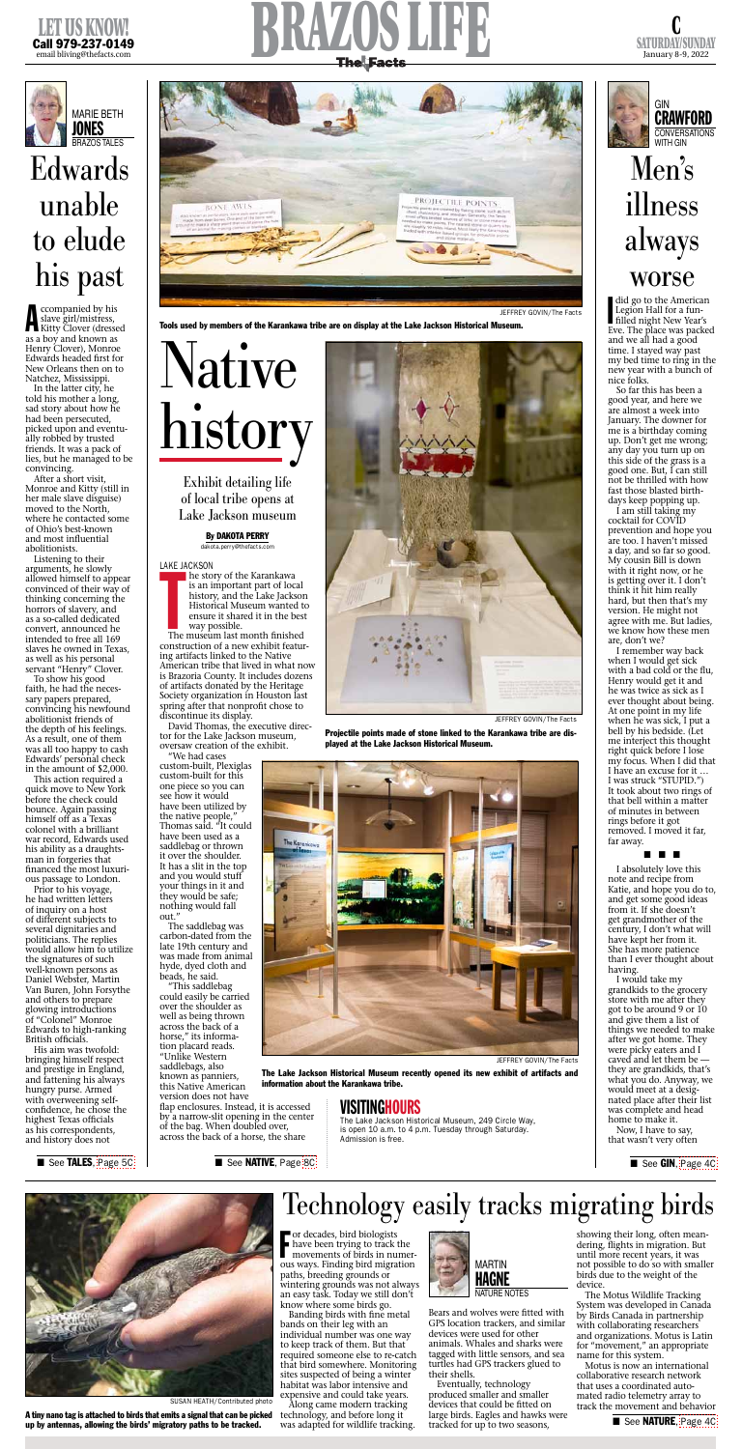

SATURDAY/SUNDAY January 8-9, 2022





**COMPANIES COMPANIES**<br>
Slave girl/mistress,<br>
Kitty Clover (dressed ccompanied by his slave girl/mistress, as a boy and known as Henry Clover), Monroe Edwards headed first for New Orleans then on to Natchez, Mississippi.

Listening to their arguments, he slowly allowed himself to appear convinced of their way of thinking concerning the horrors of slavery, and as a so-called dedicated convert, announced he intended to free all 169 slaves he owned in Texas, as well as his personal servant "Henry" Clover.

In the latter city, he told his mother a long, sad story about how he had been persecuted, picked upon and eventually robbed by trusted friends. It was a pack of lies, but he managed to be convincing.

After a short visit, Monroe and Kitty (still in her male slave disguise) moved to the North, where he contacted some of Ohio's best-known and most influential abolitionists.

To show his good faith, he had the necessary papers prepared, convincing his newfound abolitionist friends of the depth of his feelings. As a result, one of them was all too happy to cash Edwards' personal check in the amount of \$2,000.

did go to the American<br>Legion Hall for a fun-<br>filled night New Year's Legion Hall for a fun-Eve. The place was packed and we all had a good time. I stayed way past my bed time to ring in the new year with a bunch of nice folks.

This action required a quick move to New York before the check could bounce. Again passing himself off as a Texas colonel with a brilliant war record, Edwards used his ability as a draughtsman in forgeries that financed the most luxurious passage to London. Prior to his voyage, he had written letters of inquiry on a host of different subjects to several dignitaries and politicians. The replies would allow him to utilize the signatures of such well-known persons as Daniel Webster, Martin Van Buren, John Forsythe and others to prepare glowing introductions of "Colonel" Monroe Edwards to high-ranking British officials. His aim was twofold: bringing himself respect and prestige in England, and fattening his always hungry purse. Armed with overweening selfconfidence, he chose the highest Texas officials as his correspondents, and history does not

# Edwards unable to elude his past



Banding birds with fine metal bands on their leg with an individual number was one way to keep track of them. But that required someone else to re-catch that bird somewhere. Monitoring sites suspected of being a winter habitat was labor intensive and expensive and could take years.

Bears and wolves were fitted with GPS location trackers, and similar devices were used for other animals. Whales and sharks were tagged with little sensors, and sea turtles had GPS trackers glued to their shells.

So far this has been a good year, and here we are almost a week into January. The downer for me is a birthday coming up. Don't get me wrong; any day you turn up on this side of the grass is a good one. But, I can still not be thrilled with how fast those blasted birthdays keep popping up.

I am still taking my cocktail for COVID prevention and hope you are too. I haven't missed a day, and so far so good. My cousin Bill is down with it right now, or he is getting over it. I don't think it hit him really hard, but then that's my version. He might not agree with me. But ladies, we know how these men are, don't we?

I remember way back when I would get sick with a bad cold or the flu, Henry would get it and he was twice as sick as I ever thought about being. At one point in my life when he was sick, I put a bell by his bedside. (Let me interject this thought right quick before I lose my focus. When I did that I have an excuse for it … I was struck "STUPID.") It took about two rings of that bell within a matter of minutes in between rings before it got removed. I moved it far,

■ See TALES, [Page 5C](http://thefacts.com/tncms/eeditionjump/?page=5C&uuid=b56cd235-4212-52c4-b44f-5e20a91e0913)

■ See NATIVE, Page [8C](http://thefacts.com/tncms/eeditionjump/?page=8C&uuid=b56cd235-4212-52c4-b44f-5e20a91e0913)

The museum last month finished construction of a new exhibit featuring artifacts linked to the Native American tribe that lived in what now is Brazoria County. It includes dozens of artifacts donated by the Heritage Society organization in Houston last spring after that nonprofit chose to discontinue its display.

### far away.

### ■ ■ ■

I absolutely love this note and recipe from Katie, and hope you do to, and get some good ideas from it. If she doesn't get grandmother of the century, I don't what will have kept her from it. She has more patience than I ever thought about having.

I would take my grandkids to the grocery store with me after they got to be around 9 or 10 and give them a list of things we needed to make after we got home. They were picky eaters and I caved and let them be they are grandkids, that's what you do. Anyway, we would meet at a designated place after their list was complete and head home to make it.

Now, I have to say, that wasn't very often

■ See GIN, [Page 4C](http://thefacts.com/tncms/eeditionjump/?page=4C&uuid=b56cd235-4212-52c4-b44f-5e20a91e0913)

## Men's illness always worse

F or decades, bird biologists have been trying to track the movements of birds in numerous ways. Finding bird migration paths, breeding grounds or wintering grounds was not always an easy task. Today we still don't know where some birds go.

Along came modern tracking technology, and before long it was adapted for wildlife tracking.

Eventually, technology produced smaller and smaller devices that could be fitted on large birds. Eagles and hawks were tracked for up to two seasons,

showing their long, often meandering, flights in migration. But until more recent years, it was not possible to do so with smaller birds due to the weight of the device.

The Motus Wildlife Tracking System was developed in Canada by Birds Canada in partnership with collaborating researchers and organizations. Motus is Latin for "movement," an appropriate name for this system.

Motus is now an international collaborative research network that uses a coordinated automated radio telemetry array to track the movement and behavior

## Technology easily tracks migrating birds



SUSAN HEATH/Contributed photo

A tiny nano tag is attached to birds that emits a signal that can be picked up by antennas, allowing the birds' migratory paths to be tracked.



Exhibit detailing life of local tribe opens at Lake Jackson museum

> By DAKOTA PERRY dakota.perry@thefacts.com



David Thomas, the executive director for the Lake Jackson museum, oversaw creation of the exhibit.

"We had cases custom-built, Plexiglas custom-built for this one piece so you can see how it would have been utilized by the native people," Thomas said. "It could have been used as a saddlebag or thrown it over the shoulder. It has a slit in the top and you would stuff your things in it and they would be safe; nothing would fall out." The saddlebag was carbon-dated from the late 19th century and was made from animal hyde, dyed cloth and beads, he said. "This saddlebag could easily be carried over the shoulder as well as being thrown across the back of a horse," its information placard reads. "Unlike Western saddlebags, also known as panniers, this Native American version does not have flap enclosures. Instead, it is accessed by a narrow-slit opening in the center of the bag. When doubled over, across the back of a horse, the share





JEFFREY GOVIN/The Facts

The Lake Jackson Historical Museum recently opened its new exhibit of artifacts and information about the Karankawa tribe.

JEFFREY GOVIN/The Facts

Projectile points made of stone linked to the Karankawa tribe are displayed at the Lake Jackson Historical Museum.





Tools used by members of the Karankawa tribe are on display at the Lake Jackson Historical Museum.

## VISITINGHOURS

The Lake Jackson Historical Museum, 249 Circle Way, is open 10 a.m. to 4 p.m. Tuesday through Saturday. Admission is free.